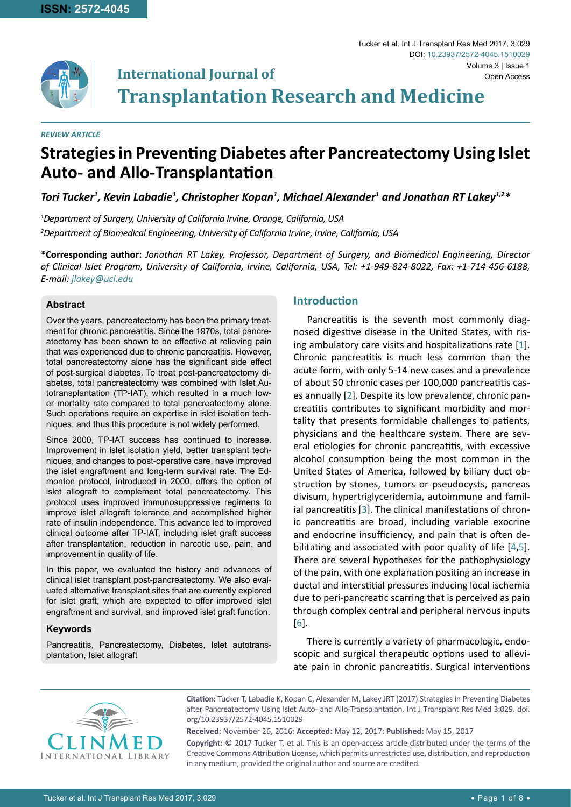

**Transplantation Research and Medicine**

#### *REVIEW ARTICLE*

# **Strategies in Preventing Diabetes after Pancreatectomy Using Islet Auto- and Allo-Transplantation**

*Tori Tucker1 , Kevin Labadie1 , Christopher Kopan1 , Michael Alexander1 and Jonathan RT Lakey1,2\**

*1 Department of Surgery, University of California Irvine, Orange, California, USA 2 Department of Biomedical Engineering, University of California Irvine, Irvine, California, USA*

**International Journal of**

**\*Corresponding author:** *Jonathan RT Lakey, Professor, Department of Surgery, and Biomedical Engineering, Director of Clinical Islet Program, University of California, Irvine, California, USA, Tel: +1-949-824-8022, Fax: +1-714-456-6188, E-mail: jlakey@uci.edu*

#### **Abstract**

Over the years, pancreatectomy has been the primary treatment for chronic pancreatitis. Since the 1970s, total pancreatectomy has been shown to be effective at relieving pain that was experienced due to chronic pancreatitis. However, total pancreatectomy alone has the significant side effect of post-surgical diabetes. To treat post-pancreatectomy diabetes, total pancreatectomy was combined with Islet Autotransplantation (TP-IAT), which resulted in a much lower mortality rate compared to total pancreatectomy alone. Such operations require an expertise in islet isolation techniques, and thus this procedure is not widely performed.

Since 2000, TP-IAT success has continued to increase. Improvement in islet isolation yield, better transplant techniques, and changes to post-operative care, have improved the islet engraftment and long-term survival rate. The Edmonton protocol, introduced in 2000, offers the option of islet allograft to complement total pancreatectomy. This protocol uses improved immunosuppressive regimens to improve islet allograft tolerance and accomplished higher rate of insulin independence. This advance led to improved clinical outcome after TP-IAT, including islet graft success after transplantation, reduction in narcotic use, pain, and improvement in quality of life.

In this paper, we evaluated the history and advances of clinical islet transplant post-pancreatectomy. We also evaluated alternative transplant sites that are currently explored for islet graft, which are expected to offer improved islet engraftment and survival, and improved islet graft function.

## **Keywords**

Pancreatitis, Pancreatectomy, Diabetes, Islet autotransplantation, Islet allograft

## **Introduction**

Pancreatitis is the seventh most commonly diagnosed digestive disease in the United States, with rising ambulatory care visits and hospitalizations rate [[1](#page-5-0)]. Chronic pancreatitis is much less common than the acute form, with only 5-14 new cases and a prevalence of about 50 chronic cases per 100,000 pancreatitis cases annually [[2](#page-5-1)]. Despite its low prevalence, chronic pancreatitis contributes to significant morbidity and mortality that presents formidable challenges to patients, physicians and the healthcare system. There are several etiologies for chronic pancreatitis, with excessive alcohol consumption being the most common in the United States of America, followed by biliary duct obstruction by stones, tumors or pseudocysts, pancreas divisum, hypertriglyceridemia, autoimmune and famil-ial pancreatitis [\[3\]](#page-5-2). The clinical manifestations of chronic pancreatitis are broad, including variable exocrine and endocrine insufficiency, and pain that is often debilitating and associated with poor quality of life [[4](#page-5-3),[5\]](#page-5-4). There are several hypotheses for the pathophysiology of the pain, with one explanation positing an increase in ductal and interstitial pressures inducing local ischemia due to peri-pancreatic scarring that is perceived as pain through complex central and peripheral nervous inputs [[6](#page-5-5)].

There is currently a variety of pharmacologic, endoscopic and surgical therapeutic options used to alleviate pain in chronic pancreatitis. Surgical interventions



**Citation:** Tucker T, Labadie K, Kopan C, Alexander M, Lakey JRT (2017) Strategies in Preventing Diabetes after Pancreatectomy Using Islet Auto- and Allo-Transplantation. Int J Transplant Res Med 3:029. [doi.](https://doi.org/10.23937/2572-4045.1510029) [org/10.23937/2572-4045.151002](https://doi.org/10.23937/2572-4045.1510029)9

**Received:** November 26, 2016: **Accepted:** May 12, 2017: **Published:** May 15, 2017

**Copyright:** © 2017 Tucker T, et al. This is an open-access article distributed under the terms of the Creative Commons Attribution License, which permits unrestricted use, distribution, and reproduction in any medium, provided the original author and source are credited.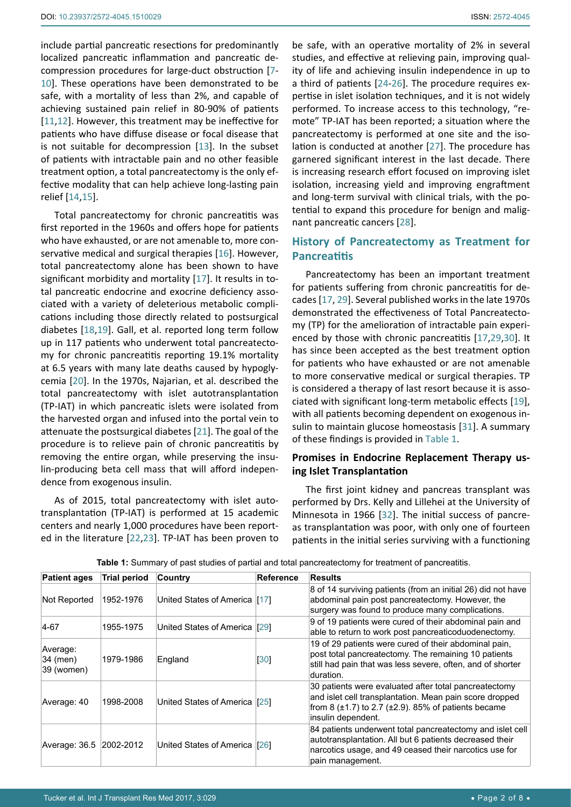include partial pancreatic resections for predominantly localized pancreatic inflammation and pancreatic decompression procedures for large-duct obstruction [[7](#page-5-6)- [10](#page-5-7)]. These operations have been demonstrated to be safe, with a mortality of less than 2%, and capable of achieving sustained pain relief in 80-90% of patients [[11](#page-5-8),[12](#page-5-9)]. However, this treatment may be ineffective for patients who have diffuse disease or focal disease that is not suitable for decompression [\[13](#page-5-10)]. In the subset of patients with intractable pain and no other feasible treatment option, a total pancreatectomy is the only effective modality that can help achieve long-lasting pain relief [[14](#page-5-11),[15\]](#page-5-12).

Total pancreatectomy for chronic pancreatitis was first reported in the 1960s and offers hope for patients who have exhausted, or are not amenable to, more conservative medical and surgical therapies [[16\]](#page-6-10). However, total pancreatectomy alone has been shown to have significant morbidity and mortality [[17](#page-6-4)]. It results in total pancreatic endocrine and exocrine deficiency associated with a variety of deleterious metabolic complications including those directly related to postsurgical diabetes [[18,](#page-6-11)[19\]](#page-6-7). Gall, et al. reported long term follow up in 117 patients who underwent total pancreatectomy for chronic pancreatitis reporting 19.1% mortality at 6.5 years with many late deaths caused by hypoglycemia [[20](#page-6-12)]. In the 1970s, Najarian, et al. described the total pancreatectomy with islet autotransplantation (TP-IAT) in which pancreatic islets were isolated from the harvested organ and infused into the portal vein to attenuate the postsurgical diabetes [[21](#page-6-13)]. The goal of the procedure is to relieve pain of chronic pancreatitis by removing the entire organ, while preserving the insulin-producing beta cell mass that will afford independence from exogenous insulin.

As of 2015, total pancreatectomy with islet autotransplantation (TP-IAT) is performed at 15 academic centers and nearly 1,000 procedures have been reported in the literature [[22,](#page-6-14)[23](#page-6-15)]. TP-IAT has been proven to

be safe, with an operative mortality of 2% in several studies, and effective at relieving pain, improving quality of life and achieving insulin independence in up to a third of patients [[24](#page-6-0)[-26\]](#page-6-1). The procedure requires expertise in islet isolation techniques, and it is not widely performed. To increase access to this technology, "remote" TP-IAT has been reported; a situation where the pancreatectomy is performed at one site and the isolation is conducted at another [[27](#page-6-2)]. The procedure has garnered significant interest in the last decade. There is increasing research effort focused on improving islet isolation, increasing yield and improving engraftment and long-term survival with clinical trials, with the potential to expand this procedure for benign and malignant pancreatic cancers [[28](#page-6-3)].

## **History of Pancreatectomy as Treatment for Pancreatitis**

Pancreatectomy has been an important treatment for patients suffering from chronic pancreatitis for decades [[17,](#page-6-4) [29\]](#page-6-5). Several published works in the late 1970s demonstrated the effectiveness of Total Pancreatectomy (TP) for the amelioration of intractable pain experienced by those with chronic pancreatitis [[17,](#page-6-4)[29](#page-6-5),[30\]](#page-6-6). It has since been accepted as the best treatment option for patients who have exhausted or are not amenable to more conservative medical or surgical therapies. TP is considered a therapy of last resort because it is associated with significant long-term metabolic effects [\[19](#page-6-7)], with all patients becoming dependent on exogenous insulin to maintain glucose homeostasis [[31\]](#page-6-8). A summary of these findings is provided in [Table 1](#page-1-0).

## **Promises in Endocrine Replacement Therapy using Islet Transplantation**

The first joint kidney and pancreas transplant was performed by Drs. Kelly and Lillehei at the University of Minnesota in 1966 [\[32](#page-6-9)]. The initial success of pancreas transplantation was poor, with only one of fourteen patients in the initial series surviving with a functioning

| <b>Patient ages</b>                | <b>Trial period</b> | Country                       | <b>Reference</b> | <b>Results</b>                                                                                                                                                                                           |
|------------------------------------|---------------------|-------------------------------|------------------|----------------------------------------------------------------------------------------------------------------------------------------------------------------------------------------------------------|
| Not Reported                       | 1952-1976           | United States of America [17] |                  | 8 of 14 surviving patients (from an initial 26) did not have<br>abdominal pain post pancreatectomy. However, the<br>surgery was found to produce many complications.                                     |
| 4-67                               | 1955-1975           | United States of America [29] |                  | 9 of 19 patients were cured of their abdominal pain and<br>able to return to work post pancreaticoduodenectomy.                                                                                          |
| Average:<br>34 (men)<br>39 (women) | 1979-1986           | England                       | [30]             | 19 of 29 patients were cured of their abdominal pain,<br>post total pancreatectomy. The remaining 10 patients<br>still had pain that was less severe, often, and of shorter<br>duration.                 |
| Average: 40                        | 1998-2008           | United States of America [25] |                  | 30 patients were evaluated after total pancreatectomy<br>and islet cell transplantation. Mean pain score dropped<br>from 8 $(\pm 1.7)$ to 2.7 $(\pm 2.9)$ . 85% of patients became<br>insulin dependent. |
| Average: 36.5 2002-2012            |                     | United States of America [26] |                  | 84 patients underwent total pancreatectomy and islet cell<br>autotransplantation. All but 6 patients decreased their<br>narcotics usage, and 49 ceased their narcotics use for<br>pain management.       |

<span id="page-1-0"></span>**Table 1:** Summary of past studies of partial and total pancreatectomy for treatment of pancreatitis.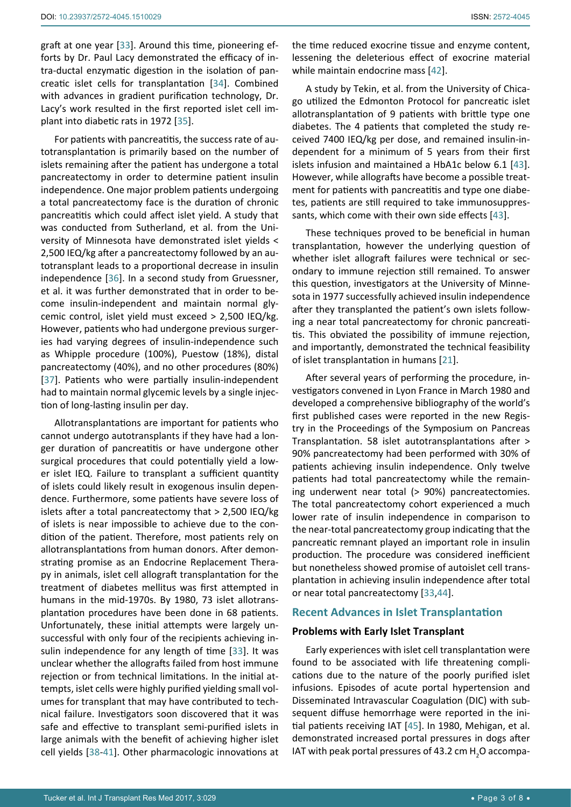graft at one year [[33\]](#page-6-19). Around this time, pioneering efforts by Dr. Paul Lacy demonstrated the efficacy of intra-ductal enzymatic digestion in the isolation of pancreatic islet cells for transplantation [\[34](#page-6-22)]. Combined with advances in gradient purification technology, Dr. Lacy's work resulted in the first reported islet cell implant into diabetic rats in 1972 [[35](#page-6-23)].

For patients with pancreatitis, the success rate of autotransplantation is primarily based on the number of islets remaining after the patient has undergone a total pancreatectomy in order to determine patient insulin independence. One major problem patients undergoing a total pancreatectomy face is the duration of chronic pancreatitis which could affect islet yield. A study that was conducted from Sutherland, et al. from the University of Minnesota have demonstrated islet yields < 2,500 IEQ/kg after a pancreatectomy followed by an autotransplant leads to a proportional decrease in insulin independence [[36](#page-6-24)]. In a second study from Gruessner, et al. it was further demonstrated that in order to become insulin-independent and maintain normal glycemic control, islet yield must exceed > 2,500 IEQ/kg. However, patients who had undergone previous surgeries had varying degrees of insulin-independence such as Whipple procedure (100%), Puestow (18%), distal pancreatectomy (40%), and no other procedures (80%) [[37](#page-6-25)]. Patients who were partially insulin-independent had to maintain normal glycemic levels by a single injection of long-lasting insulin per day.

Allotransplantations are important for patients who cannot undergo autotransplants if they have had a longer duration of pancreatitis or have undergone other surgical procedures that could potentially yield a lower islet IEQ. Failure to transplant a sufficient quantity of islets could likely result in exogenous insulin dependence. Furthermore, some patients have severe loss of islets after a total pancreatectomy that > 2,500 IEQ/kg of islets is near impossible to achieve due to the condition of the patient. Therefore, most patients rely on allotransplantations from human donors. After demonstrating promise as an Endocrine Replacement Therapy in animals, islet cell allograft transplantation for the treatment of diabetes mellitus was first attempted in humans in the mid-1970s. By 1980, 73 islet allotransplantation procedures have been done in 68 patients. Unfortunately, these initial attempts were largely unsuccessful with only four of the recipients achieving insulin independence for any length of time [\[33](#page-6-19)]. It was unclear whether the allografts failed from host immune rejection or from technical limitations. In the initial attempts, islet cells were highly purified yielding small volumes for transplant that may have contributed to technical failure. Investigators soon discovered that it was safe and effective to transplant semi-purified islets in large animals with the benefit of achieving higher islet cell yields [\[38](#page-6-26)-[41\]](#page-6-27). Other pharmacologic innovations at

the time reduced exocrine tissue and enzyme content, lessening the deleterious effect of exocrine material while maintain endocrine mass [[42\]](#page-6-17).

A study by Tekin, et al. from the University of Chicago utilized the Edmonton Protocol for pancreatic islet allotransplantation of 9 patients with brittle type one diabetes. The 4 patients that completed the study received 7400 IEQ/kg per dose, and remained insulin-independent for a minimum of 5 years from their first islets infusion and maintained a HbA1c below 6.1 [\[43\]](#page-6-18). However, while allografts have become a possible treatment for patients with pancreatitis and type one diabetes, patients are still required to take immunosuppressants, which come with their own side effects [\[43](#page-6-18)].

These techniques proved to be beneficial in human transplantation, however the underlying question of whether islet allograft failures were technical or secondary to immune rejection still remained. To answer this question, investigators at the University of Minnesota in 1977 successfully achieved insulin independence after they transplanted the patient's own islets following a near total pancreatectomy for chronic pancreatitis. This obviated the possibility of immune rejection, and importantly, demonstrated the technical feasibility of islet transplantation in humans [[21](#page-6-13)].

After several years of performing the procedure, investigators convened in Lyon France in March 1980 and developed a comprehensive bibliography of the world's first published cases were reported in the new Registry in the Proceedings of the Symposium on Pancreas Transplantation. 58 islet autotransplantations after > 90% pancreatectomy had been performed with 30% of patients achieving insulin independence. Only twelve patients had total pancreatectomy while the remaining underwent near total (> 90%) pancreatectomies. The total pancreatectomy cohort experienced a much lower rate of insulin independence in comparison to the near-total pancreatectomy group indicating that the pancreatic remnant played an important role in insulin production. The procedure was considered inefficient but nonetheless showed promise of autoislet cell transplantation in achieving insulin independence after total or near total pancreatectomy [\[33](#page-6-19),[44](#page-6-20)].

## **Recent Advances in Islet Transplantation**

## **Problems with Early Islet Transplant**

Early experiences with islet cell transplantation were found to be associated with life threatening complications due to the nature of the poorly purified islet infusions. Episodes of acute portal hypertension and Disseminated Intravascular Coagulation (DIC) with subsequent diffuse hemorrhage were reported in the initial patients receiving IAT [\[45](#page-6-21)]. In 1980, Mehigan, et al. demonstrated increased portal pressures in dogs after IAT with peak portal pressures of 43.2 cm  $H_2O$  accompa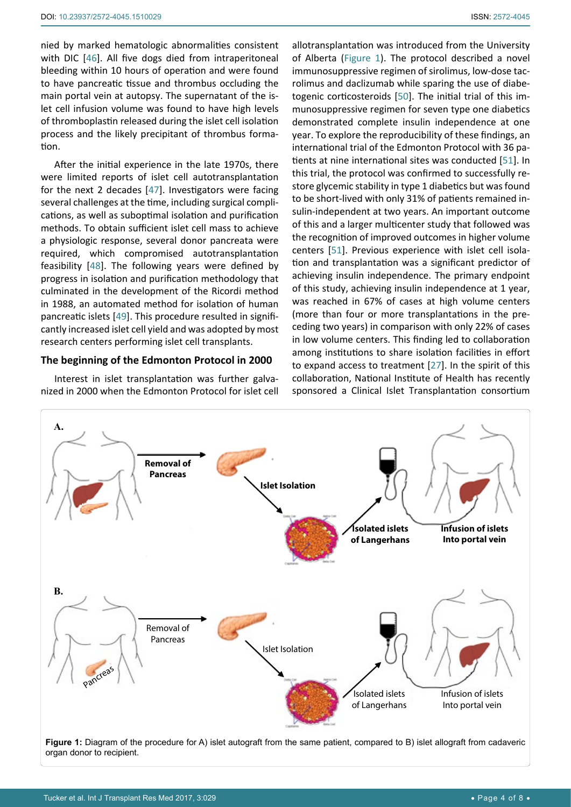nied by marked hematologic abnormalities consistent with DIC [[46](#page-6-29)]. All five dogs died from intraperitoneal bleeding within 10 hours of operation and were found to have pancreatic tissue and thrombus occluding the main portal vein at autopsy. The supernatant of the islet cell infusion volume was found to have high levels of thromboplastin released during the islet cell isolation process and the likely precipitant of thrombus formation.

After the initial experience in the late 1970s, there were limited reports of islet cell autotransplantation for the next 2 decades [[47](#page-6-30)]. Investigators were facing several challenges at the time, including surgical complications, as well as suboptimal isolation and purification methods. To obtain sufficient islet cell mass to achieve a physiologic response, several donor pancreata were required, which compromised autotransplantation feasibility [[48](#page-6-31)]. The following years were defined by progress in isolation and purification methodology that culminated in the development of the Ricordi method in 1988, an automated method for isolation of human pancreatic islets [[49](#page-6-32)]. This procedure resulted in significantly increased islet cell yield and was adopted by most research centers performing islet cell transplants.

## **The beginning of the Edmonton Protocol in 2000**

Interest in islet transplantation was further galvanized in 2000 when the Edmonton Protocol for islet cell allotransplantation was introduced from the University of Alberta ([Figure 1\)](#page-3-0). The protocol described a novel immunosuppressive regimen of sirolimus, low-dose tacrolimus and daclizumab while sparing the use of diabetogenic corticosteroids [[50](#page-6-28)]. The initial trial of this immunosuppressive regimen for seven type one diabetics demonstrated complete insulin independence at one year. To explore the reproducibility of these findings, an international trial of the Edmonton Protocol with 36 patients at nine international sites was conducted [\[51](#page-7-0)]. In this trial, the protocol was confirmed to successfully restore glycemic stability in type 1 diabetics but was found to be short-lived with only 31% of patients remained insulin-independent at two years. An important outcome of this and a larger multicenter study that followed was the recognition of improved outcomes in higher volume centers [\[51\]](#page-7-0). Previous experience with islet cell isolation and transplantation was a significant predictor of achieving insulin independence. The primary endpoint of this study, achieving insulin independence at 1 year, was reached in 67% of cases at high volume centers (more than four or more transplantations in the preceding two years) in comparison with only 22% of cases in low volume centers. This finding led to collaboration among institutions to share isolation facilities in effort to expand access to treatment [[27](#page-6-2)]. In the spirit of this collaboration, National Institute of Health has recently sponsored a Clinical Islet Transplantation consortium

<span id="page-3-0"></span>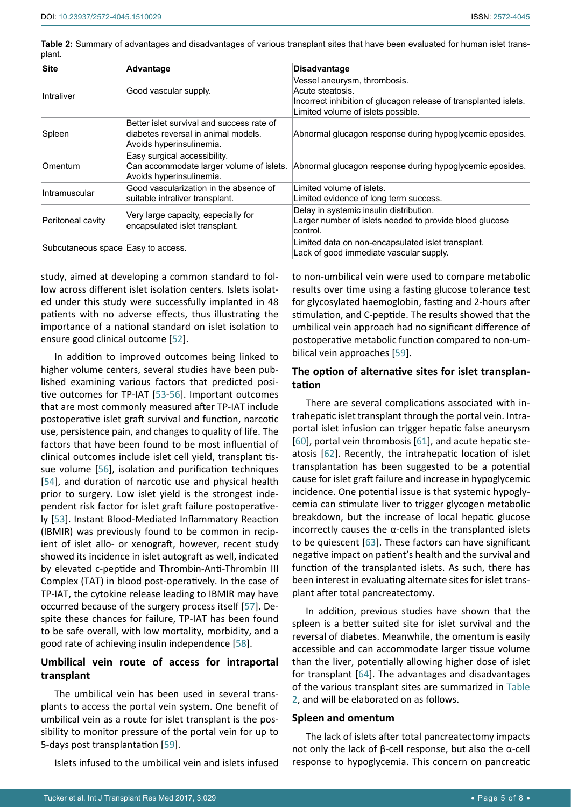<span id="page-4-0"></span>

| Table 2: Summary of advantages and disadvantages of various transplant sites that have been evaluated for human islet trans- |  |  |  |  |
|------------------------------------------------------------------------------------------------------------------------------|--|--|--|--|
| plant.                                                                                                                       |  |  |  |  |

| <b>Site</b>                        | <b>Advantage</b>                                                                                             | <b>Disadvantage</b>                                                                                                                                        |
|------------------------------------|--------------------------------------------------------------------------------------------------------------|------------------------------------------------------------------------------------------------------------------------------------------------------------|
| Intraliver                         | Good vascular supply.                                                                                        | Vessel aneurysm, thrombosis.<br>Acute steatosis.<br>Incorrect inhibition of glucagon release of transplanted islets.<br>Limited volume of islets possible. |
| Spleen                             | Better islet survival and success rate of<br>diabetes reversal in animal models.<br>Avoids hyperinsulinemia. | Abnormal glucagon response during hypoglycemic eposides.                                                                                                   |
| Omentum                            | Easy surgical accessibility.<br>Can accommodate larger volume of islets.<br>Avoids hyperinsulinemia.         | Abnormal glucagon response during hypoglycemic eposides.                                                                                                   |
| Intramuscular                      | Good vascularization in the absence of<br>suitable intraliver transplant.                                    | Limited volume of islets.<br>Limited evidence of long term success.                                                                                        |
| Peritoneal cavity                  | Very large capacity, especially for<br>encapsulated islet transplant.                                        | Delay in systemic insulin distribution.<br>Larger number of islets needed to provide blood glucose<br>control.                                             |
| Subcutaneous space Easy to access. |                                                                                                              | Limited data on non-encapsulated islet transplant.<br>Lack of good immediate vascular supply.                                                              |

study, aimed at developing a common standard to follow across different islet isolation centers. Islets isolated under this study were successfully implanted in 48 patients with no adverse effects, thus illustrating the importance of a national standard on islet isolation to ensure good clinical outcome [\[52\]](#page-7-7).

In addition to improved outcomes being linked to higher volume centers, several studies have been published examining various factors that predicted positive outcomes for TP-IAT [\[53](#page-5-2)-[56\]](#page-7-8). Important outcomes that are most commonly measured after TP-IAT include postoperative islet graft survival and function, narcotic use, persistence pain, and changes to quality of life. The factors that have been found to be most influential of clinical outcomes include islet cell yield, transplant tissue volume [\[56\]](#page-7-8), isolation and purification techniques [[54](#page-7-9)], and duration of narcotic use and physical health prior to surgery. Low islet yield is the strongest independent risk factor for islet graft failure postoperatively [[53\]](#page-7-10). Instant Blood-Mediated Inflammatory Reaction (IBMIR) was previously found to be common in recipient of islet allo- or xenograft, however, recent study showed its incidence in islet autograft as well, indicated by elevated c-peptide and Thrombin-Anti-Thrombin III Complex (TAT) in blood post-operatively. In the case of TP-IAT, the cytokine release leading to IBMIR may have occurred because of the surgery process itself [[57](#page-7-11)]. Despite these chances for failure, TP-IAT has been found to be safe overall, with low mortality, morbidity, and a good rate of achieving insulin independence [[58](#page-7-12)].

## **Umbilical vein route of access for intraportal transplant**

The umbilical vein has been used in several transplants to access the portal vein system. One benefit of umbilical vein as a route for islet transplant is the possibility to monitor pressure of the portal vein for up to 5-days post transplantation [\[59](#page-7-1)].

Islets infused to the umbilical vein and islets infused

to non-umbilical vein were used to compare metabolic results over time using a fasting glucose tolerance test for glycosylated haemoglobin, fasting and 2-hours after stimulation, and C-peptide. The results showed that the umbilical vein approach had no significant difference of postoperative metabolic function compared to non-umbilical vein approaches [\[59](#page-7-1)].

## **The option of alternative sites for islet transplantation**

There are several complications associated with intrahepatic islet transplant through the portal vein. Intraportal islet infusion can trigger hepatic false aneurysm [\[60](#page-7-2)], portal vein thrombosis [\[61\]](#page-7-3), and acute hepatic steatosis [[62](#page-7-4)]. Recently, the intrahepatic location of islet transplantation has been suggested to be a potential cause for islet graft failure and increase in hypoglycemic incidence. One potential issue is that systemic hypoglycemia can stimulate liver to trigger glycogen metabolic breakdown, but the increase of local hepatic glucose incorrectly causes the  $\alpha$ -cells in the transplanted islets to be quiescent [[63](#page-7-5)]. These factors can have significant negative impact on patient's health and the survival and function of the transplanted islets. As such, there has been interest in evaluating alternate sites for islet transplant after total pancreatectomy.

In addition, previous studies have shown that the spleen is a better suited site for islet survival and the reversal of diabetes. Meanwhile, the omentum is easily accessible and can accommodate larger tissue volume than the liver, potentially allowing higher dose of islet for transplant [[64\]](#page-7-6). The advantages and disadvantages of the various transplant sites are summarized in [Table](#page-4-0)  [2](#page-4-0), and will be elaborated on as follows.

#### **Spleen and omentum**

The lack of islets after total pancreatectomy impacts not only the lack of β-cell response, but also the α-cell response to hypoglycemia. This concern on pancreatic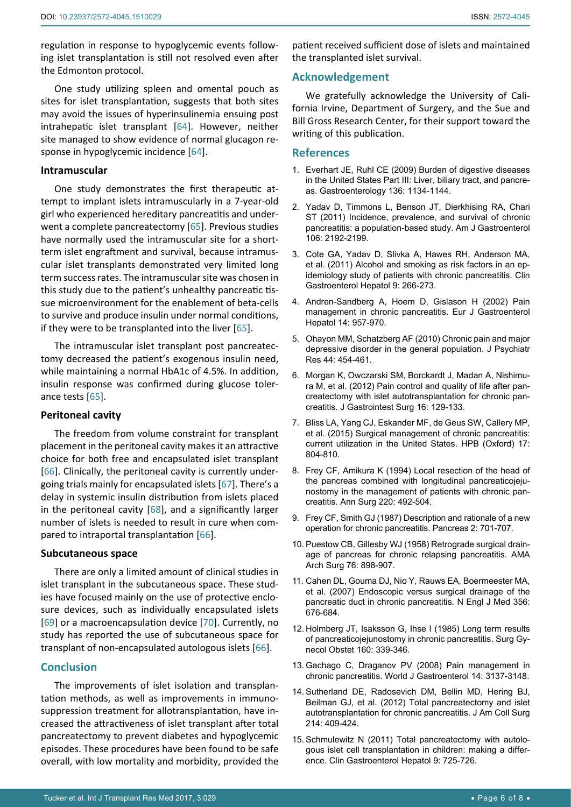regulation in response to hypoglycemic events following islet transplantation is still not resolved even after the Edmonton protocol.

One study utilizing spleen and omental pouch as sites for islet transplantation, suggests that both sites may avoid the issues of hyperinsulinemia ensuing post intrahepatic islet transplant [\[64\]](#page-7-6). However, neither site managed to show evidence of normal glucagon response in hypoglycemic incidence [\[64](#page-7-6)].

#### **Intramuscular**

One study demonstrates the first therapeutic attempt to implant islets intramuscularly in a 7-year-old girl who experienced hereditary pancreatitis and underwent a complete pancreatectomy [\[65\]](#page-7-13). Previous studies have normally used the intramuscular site for a shortterm islet engraftment and survival, because intramuscular islet transplants demonstrated very limited long term success rates. The intramuscular site was chosen in this study due to the patient's unhealthy pancreatic tissue microenvironment for the enablement of beta-cells to survive and produce insulin under normal conditions, if they were to be transplanted into the liver  $[65]$  $[65]$ .

The intramuscular islet transplant post pancreatectomy decreased the patient's exogenous insulin need, while maintaining a normal HbA1c of 4.5%. In addition, insulin response was confirmed during glucose tolerance tests [\[65\]](#page-7-13).

## **Peritoneal cavity**

The freedom from volume constraint for transplant placement in the peritoneal cavity makes it an attractive choice for both free and encapsulated islet transplant [[66](#page-7-14)]. Clinically, the peritoneal cavity is currently undergoing trials mainly for encapsulated islets [[67\]](#page-7-15). There's a delay in systemic insulin distribution from islets placed in the peritoneal cavity [[68\]](#page-7-16), and a significantly larger number of islets is needed to result in cure when compared to intraportal transplantation [\[66](#page-7-14)].

## **Subcutaneous space**

There are only a limited amount of clinical studies in islet transplant in the subcutaneous space. These studies have focused mainly on the use of protective enclosure devices, such as individually encapsulated islets [[69](#page-7-17)] or a macroencapsulation device [[70](#page-7-18)]. Currently, no study has reported the use of subcutaneous space for transplant of non-encapsulated autologous islets [[66\]](#page-7-14).

## **Conclusion**

The improvements of islet isolation and transplantation methods, as well as improvements in immunosuppression treatment for allotransplantation, have increased the attractiveness of islet transplant after total pancreatectomy to prevent diabetes and hypoglycemic episodes. These procedures have been found to be safe overall, with low mortality and morbidity, provided the

patient received sufficient dose of islets and maintained the transplanted islet survival.

## **Acknowledgement**

We gratefully acknowledge the University of California Irvine, Department of Surgery, and the Sue and Bill Gross Research Center, for their support toward the writing of this publication.

#### **References**

- <span id="page-5-0"></span>1. [Everhart JE, Ruhl CE \(2009\) Burden of digestive diseases](https://www.ncbi.nlm.nih.gov/pubmed/19245868)  [in the United States Part III: Liver, biliary tract, and pancre](https://www.ncbi.nlm.nih.gov/pubmed/19245868)[as. Gastroenterology 136: 1134-1144.](https://www.ncbi.nlm.nih.gov/pubmed/19245868)
- <span id="page-5-1"></span>2. [Yadav D, Timmons L, Benson JT, Dierkhising RA, Chari](https://www.ncbi.nlm.nih.gov/pubmed/21946280)  [ST \(2011\) Incidence, prevalence, and survival of chronic](https://www.ncbi.nlm.nih.gov/pubmed/21946280)  [pancreatitis: a population-based study. Am J Gastroenterol](https://www.ncbi.nlm.nih.gov/pubmed/21946280)  [106: 2192-2199.](https://www.ncbi.nlm.nih.gov/pubmed/21946280)
- <span id="page-5-2"></span>3. [Cote GA, Yadav D, Slivka A, Hawes RH, Anderson MA,](https://www.ncbi.nlm.nih.gov/pubmed/21029787)  [et al. \(2011\) Alcohol and smoking as risk factors in an ep](https://www.ncbi.nlm.nih.gov/pubmed/21029787)[idemiology study of patients with chronic pancreatitis. Clin](https://www.ncbi.nlm.nih.gov/pubmed/21029787)  [Gastroenterol Hepatol 9: 266-273.](https://www.ncbi.nlm.nih.gov/pubmed/21029787)
- <span id="page-5-3"></span>4. [Andren-Sandberg A, Hoem D, Gislason H \(2002\) Pain](https://www.ncbi.nlm.nih.gov/pubmed/12352215)  [management in chronic pancreatitis. Eur J Gastroenterol](https://www.ncbi.nlm.nih.gov/pubmed/12352215)  [Hepatol 14: 957-970.](https://www.ncbi.nlm.nih.gov/pubmed/12352215)
- <span id="page-5-4"></span>5. [Ohayon MM, Schatzberg AF \(2010\) Chronic pain and major](https://www.ncbi.nlm.nih.gov/pubmed/20149391)  [depressive disorder in the general population. J Psychiatr](https://www.ncbi.nlm.nih.gov/pubmed/20149391)  [Res 44: 454-461.](https://www.ncbi.nlm.nih.gov/pubmed/20149391)
- <span id="page-5-5"></span>6. [Morgan K, Owczarski SM, Borckardt J, Madan A, Nishimu](https://www.ncbi.nlm.nih.gov/pubmed/22042566)[ra M, et al. \(2012\) Pain control and quality of life after pan](https://www.ncbi.nlm.nih.gov/pubmed/22042566)[createctomy with islet autotransplantation for chronic pan](https://www.ncbi.nlm.nih.gov/pubmed/22042566)[creatitis. J Gastrointest Surg 16: 129-133.](https://www.ncbi.nlm.nih.gov/pubmed/22042566)
- <span id="page-5-6"></span>7. [Bliss LA, Yang CJ, Eskander MF, de Geus SW, Callery MP,](https://www.ncbi.nlm.nih.gov/pubmed/26216570)  [et al. \(2015\) Surgical management of chronic pancreatitis:](https://www.ncbi.nlm.nih.gov/pubmed/26216570)  [current utilization in the United States. HPB \(Oxford\) 17:](https://www.ncbi.nlm.nih.gov/pubmed/26216570)  [804-810.](https://www.ncbi.nlm.nih.gov/pubmed/26216570)
- 8. [Frey CF, Amikura K \(1994\) Local resection of the head of](https://www.ncbi.nlm.nih.gov/pubmed/7524454)  [the pancreas combined with longitudinal pancreaticojeju](https://www.ncbi.nlm.nih.gov/pubmed/7524454)[nostomy in the management of patients with chronic pan](https://www.ncbi.nlm.nih.gov/pubmed/7524454)[creatitis. Ann Surg 220: 492-504.](https://www.ncbi.nlm.nih.gov/pubmed/7524454)
- 9. [Frey CF, Smith GJ \(1987\) Description and rationale of a new](https://www.ncbi.nlm.nih.gov/pubmed/3438308)  [operation for chronic pancreatitis. Pancreas 2: 701-707.](https://www.ncbi.nlm.nih.gov/pubmed/3438308)
- <span id="page-5-7"></span>10. [Puestow CB, Gillesby WJ \(1958\) Retrograde surgical drain](https://www.ncbi.nlm.nih.gov/pubmed/13532132)[age of pancreas for chronic relapsing pancreatitis. AMA](https://www.ncbi.nlm.nih.gov/pubmed/13532132)  [Arch Surg 76: 898-907.](https://www.ncbi.nlm.nih.gov/pubmed/13532132)
- <span id="page-5-8"></span>11. [Cahen DL, Gouma DJ, Nio Y, Rauws EA, Boermeester MA,](https://www.ncbi.nlm.nih.gov/pubmed/17301298)  [et al. \(2007\) Endoscopic versus surgical drainage of the](https://www.ncbi.nlm.nih.gov/pubmed/17301298)  [pancreatic duct in chronic pancreatitis. N Engl J Med 356:](https://www.ncbi.nlm.nih.gov/pubmed/17301298)  [676-684.](https://www.ncbi.nlm.nih.gov/pubmed/17301298)
- <span id="page-5-9"></span>12. [Holmberg JT, Isaksson G, Ihse I \(1985\) Long term results](https://www.ncbi.nlm.nih.gov/pubmed/2580360)  [of pancreaticojejunostomy in chronic pancreatitis. Surg Gy](https://www.ncbi.nlm.nih.gov/pubmed/2580360)[necol Obstet 160: 339-346.](https://www.ncbi.nlm.nih.gov/pubmed/2580360)
- <span id="page-5-10"></span>13. [Gachago C, Draganov PV \(2008\) Pain management in](https://www.ncbi.nlm.nih.gov/pubmed/18506917)  [chronic pancreatitis. World J Gastroenterol 14: 3137-3148.](https://www.ncbi.nlm.nih.gov/pubmed/18506917)
- <span id="page-5-11"></span>14. [Sutherland DE, Radosevich DM, Bellin MD, Hering BJ,](https://www.ncbi.nlm.nih.gov/pubmed/22397977)  [Beilman GJ, et al. \(2012\) Total pancreatectomy and islet](https://www.ncbi.nlm.nih.gov/pubmed/22397977)  [autotransplantation for chronic pancreatitis. J Am Coll Surg](https://www.ncbi.nlm.nih.gov/pubmed/22397977)  [214: 409-424.](https://www.ncbi.nlm.nih.gov/pubmed/22397977)
- <span id="page-5-12"></span>15. [Schmulewitz N \(2011\) Total pancreatectomy with autolo](https://www.ncbi.nlm.nih.gov/pubmed/21683159)[gous islet cell transplantation in children: making a differ](https://www.ncbi.nlm.nih.gov/pubmed/21683159)[ence. Clin Gastroenterol Hepatol 9: 725-726.](https://www.ncbi.nlm.nih.gov/pubmed/21683159)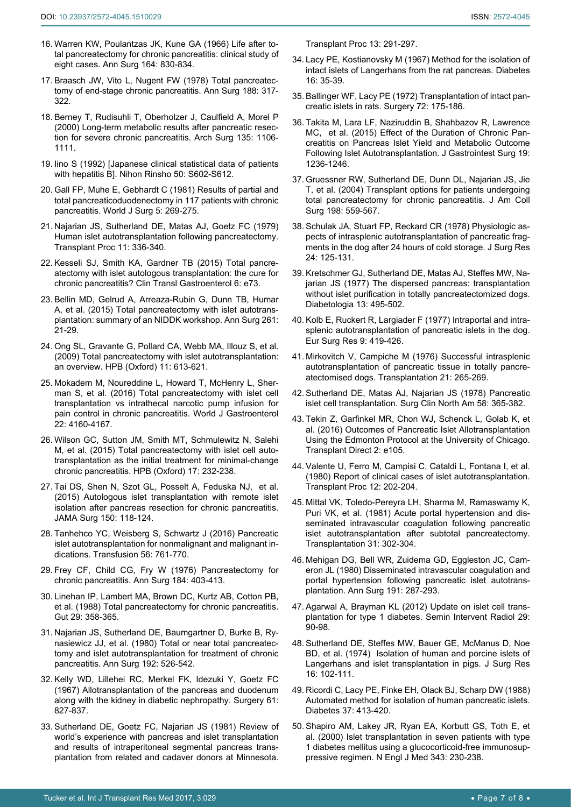- <span id="page-6-10"></span>16. [Warren KW, Poulantzas JK, Kune GA \(1966\) Life after to](https://www.ncbi.nlm.nih.gov/pubmed/5923106)[tal pancreatectomy for chronic pancreatitis: clinical study of](https://www.ncbi.nlm.nih.gov/pubmed/5923106)  [eight cases. Ann Surg 164: 830-834.](https://www.ncbi.nlm.nih.gov/pubmed/5923106)
- <span id="page-6-4"></span>17. [Braasch JW, Vito L, Nugent FW \(1978\) Total pancreatec](https://www.ncbi.nlm.nih.gov/pubmed/686897)[tomy of end-stage chronic pancreatitis. Ann Surg 188: 317-](https://www.ncbi.nlm.nih.gov/pubmed/686897) [322.](https://www.ncbi.nlm.nih.gov/pubmed/686897)
- <span id="page-6-11"></span>18. [Berney T, Rudisuhli T, Oberholzer J, Caulfield A, Morel P](https://www.ncbi.nlm.nih.gov/pubmed/10982519)  [\(2000\) Long-term metabolic results after pancreatic resec](https://www.ncbi.nlm.nih.gov/pubmed/10982519)[tion for severe chronic pancreatitis. Arch Surg 135: 1106-](https://www.ncbi.nlm.nih.gov/pubmed/10982519) [1111.](https://www.ncbi.nlm.nih.gov/pubmed/10982519)
- <span id="page-6-7"></span>19. [Iino S \(1992\) \[Japanese clinical statistical data of patients](https://www.ncbi.nlm.nih.gov/pubmed/1344398)  [with hepatitis B\]. Nihon Rinsho 50: S602-S612.](https://www.ncbi.nlm.nih.gov/pubmed/1344398)
- <span id="page-6-12"></span>20. [Gall FP, Muhe E, Gebhardt C \(1981\) Results of partial and](https://www.ncbi.nlm.nih.gov/pubmed/7245796)  [total pancreaticoduodenectomy in 117 patients with chronic](https://www.ncbi.nlm.nih.gov/pubmed/7245796)  [pancreatitis. World J Surg 5: 269-275.](https://www.ncbi.nlm.nih.gov/pubmed/7245796)
- <span id="page-6-13"></span>21. [Najarian JS, Sutherland DE, Matas AJ, Goetz FC \(1979\)](https://www.ncbi.nlm.nih.gov/pubmed/109963)  [Human islet autotransplantation following pancreatectomy.](https://www.ncbi.nlm.nih.gov/pubmed/109963)  [Transplant Proc 11: 336-340.](https://www.ncbi.nlm.nih.gov/pubmed/109963)
- <span id="page-6-14"></span>22. [Kesseli SJ, Smith KA, Gardner TB \(2015\) Total pancre](https://www.ncbi.nlm.nih.gov/pubmed/25630865)[atectomy with islet autologous transplantation: the cure for](https://www.ncbi.nlm.nih.gov/pubmed/25630865)  [chronic pancreatitis? Clin Transl Gastroenterol 6: e73.](https://www.ncbi.nlm.nih.gov/pubmed/25630865)
- <span id="page-6-15"></span>23. [Bellin MD, Gelrud A, Arreaza-Rubin G, Dunn TB, Humar](https://www.ncbi.nlm.nih.gov/pubmed/25599324)  [A, et al. \(2015\) Total pancreatectomy with islet autotrans](https://www.ncbi.nlm.nih.gov/pubmed/25599324)[plantation: summary of an NIDDK workshop. Ann Surg 261:](https://www.ncbi.nlm.nih.gov/pubmed/25599324)  [21-29.](https://www.ncbi.nlm.nih.gov/pubmed/25599324)
- <span id="page-6-0"></span>24. [Ong SL, Gravante G, Pollard CA, Webb MA, Illouz S, et al.](https://www.ncbi.nlm.nih.gov/pubmed/20495628)  [\(2009\) Total pancreatectomy with islet autotransplantation:](https://www.ncbi.nlm.nih.gov/pubmed/20495628)  [an overview. HPB \(Oxford\) 11: 613-621.](https://www.ncbi.nlm.nih.gov/pubmed/20495628)
- <span id="page-6-16"></span>25. [Mokadem M, Noureddine L, Howard T, McHenry L, Sher](https://www.ncbi.nlm.nih.gov/pubmed/27122666)[man S, et al. \(2016\) Total pancreatectomy with islet cell](https://www.ncbi.nlm.nih.gov/pubmed/27122666)  [transplantation vs intrathecal narcotic pump infusion for](https://www.ncbi.nlm.nih.gov/pubmed/27122666)  [pain control in chronic pancreatitis. World J Gastroenterol](https://www.ncbi.nlm.nih.gov/pubmed/27122666)  [22: 4160-4167.](https://www.ncbi.nlm.nih.gov/pubmed/27122666)
- <span id="page-6-1"></span>26. [Wilson GC, Sutton JM, Smith MT, Schmulewitz N, Salehi](https://www.ncbi.nlm.nih.gov/pubmed/25297689)  [M, et al. \(2015\) Total pancreatectomy with islet cell auto](https://www.ncbi.nlm.nih.gov/pubmed/25297689)[transplantation as the initial treatment for minimal-change](https://www.ncbi.nlm.nih.gov/pubmed/25297689)  [chronic pancreatitis. HPB \(Oxford\) 17: 232-238.](https://www.ncbi.nlm.nih.gov/pubmed/25297689)
- <span id="page-6-2"></span>27. [Tai DS, Shen N, Szot GL, Posselt A, Feduska NJ, et al.](https://www.ncbi.nlm.nih.gov/pubmed/25494212)  [\(2015\) Autologous islet transplantation with remote islet](https://www.ncbi.nlm.nih.gov/pubmed/25494212)  [isolation after pancreas resection for chronic pancreatitis.](https://www.ncbi.nlm.nih.gov/pubmed/25494212)  [JAMA Surg 150: 118-124.](https://www.ncbi.nlm.nih.gov/pubmed/25494212)
- <span id="page-6-3"></span>28. [Tanhehco YC, Weisberg S, Schwartz J \(2016\) Pancreatic](https://www.ncbi.nlm.nih.gov/pubmed/26593636)  [islet autotransplantation for nonmalignant and malignant in](https://www.ncbi.nlm.nih.gov/pubmed/26593636)[dications. Transfusion 56: 761-770.](https://www.ncbi.nlm.nih.gov/pubmed/26593636)
- <span id="page-6-5"></span>29. [Frey CF, Child CG, Fry W \(1976\) Pancreatectomy for](https://www.ncbi.nlm.nih.gov/pubmed/1015887)  [chronic pancreatitis. Ann Surg 184: 403-413.](https://www.ncbi.nlm.nih.gov/pubmed/1015887)
- <span id="page-6-6"></span>30. [Linehan IP, Lambert MA, Brown DC, Kurtz AB, Cotton PB,](https://www.ncbi.nlm.nih.gov/pubmed/3356368)  [et al. \(1988\) Total pancreatectomy for chronic pancreatitis.](https://www.ncbi.nlm.nih.gov/pubmed/3356368)  [Gut 29: 358-365.](https://www.ncbi.nlm.nih.gov/pubmed/3356368)
- <span id="page-6-8"></span>31. [Najarian JS, Sutherland DE, Baumgartner D, Burke B, Ry](https://www.ncbi.nlm.nih.gov/pubmed/6775603)[nasiewicz JJ, et al. \(1980\) Total or near total pancreatec](https://www.ncbi.nlm.nih.gov/pubmed/6775603)[tomy and islet autotransplantation for treatment of chronic](https://www.ncbi.nlm.nih.gov/pubmed/6775603)  [pancreatitis. Ann Surg 192: 526-542.](https://www.ncbi.nlm.nih.gov/pubmed/6775603)
- <span id="page-6-9"></span>32. [Kelly WD, Lillehei RC, Merkel FK, Idezuki Y, Goetz FC](https://www.ncbi.nlm.nih.gov/pubmed/5338113)  [\(1967\) Allotransplantation of the pancreas and duodenum](https://www.ncbi.nlm.nih.gov/pubmed/5338113)  [along with the kidney in diabetic nephropathy. Surgery 61:](https://www.ncbi.nlm.nih.gov/pubmed/5338113)  [827-837.](https://www.ncbi.nlm.nih.gov/pubmed/5338113)
- <span id="page-6-19"></span>33. [Sutherland DE, Goetz FC, Najarian JS \(1981\) Review of](https://www.ncbi.nlm.nih.gov/pubmed/6791327)  [world's experience with pancreas and islet transplantation](https://www.ncbi.nlm.nih.gov/pubmed/6791327)  [and results of intraperitoneal segmental pancreas trans](https://www.ncbi.nlm.nih.gov/pubmed/6791327)[plantation from related and cadaver donors at Minnesota.](https://www.ncbi.nlm.nih.gov/pubmed/6791327)

<span id="page-6-22"></span>[Transplant Proc 13: 291-297.](https://www.ncbi.nlm.nih.gov/pubmed/6791327)

- 34. [Lacy PE, Kostianovsky M \(1967\) Method for the isolation of](https://www.ncbi.nlm.nih.gov/pubmed/5333500)  [intact islets of Langerhans from the rat pancreas. Diabetes](https://www.ncbi.nlm.nih.gov/pubmed/5333500)  [16: 35-39.](https://www.ncbi.nlm.nih.gov/pubmed/5333500)
- <span id="page-6-23"></span>35. [Ballinger WF, Lacy PE \(1972\) Transplantation of intact pan](https://www.ncbi.nlm.nih.gov/pubmed/4262169)[creatic islets in rats. Surgery 72: 175-186.](https://www.ncbi.nlm.nih.gov/pubmed/4262169)
- <span id="page-6-24"></span>36. [Takita M, Lara LF, Naziruddin B, Shahbazov R, Lawrence](https://www.ncbi.nlm.nih.gov/pubmed/25933581)  [MC, et al. \(2015\) Effect of the Duration of Chronic Pan](https://www.ncbi.nlm.nih.gov/pubmed/25933581)[creatitis on Pancreas Islet Yield and Metabolic Outcome](https://www.ncbi.nlm.nih.gov/pubmed/25933581)  [Following Islet Autotransplantation. J Gastrointest Surg 19:](https://www.ncbi.nlm.nih.gov/pubmed/25933581)  [1236-1246.](https://www.ncbi.nlm.nih.gov/pubmed/25933581)
- <span id="page-6-25"></span>37. [Gruessner RW, Sutherland DE, Dunn DL, Najarian JS, Jie](https://www.ncbi.nlm.nih.gov/pubmed/15051008)  [T, et al. \(2004\) Transplant options for patients undergoing](https://www.ncbi.nlm.nih.gov/pubmed/15051008)  [total pancreatectomy for chronic pancreatitis. J Am Coll](https://www.ncbi.nlm.nih.gov/pubmed/15051008)  [Surg 198: 559-567.](https://www.ncbi.nlm.nih.gov/pubmed/15051008)
- <span id="page-6-26"></span>38. [Schulak JA, Stuart FP, Reckard CR \(1978\) Physiologic as](https://www.ncbi.nlm.nih.gov/pubmed/416299)[pects of intrasplenic autotransplantation of pancreatic frag](https://www.ncbi.nlm.nih.gov/pubmed/416299)[ments in the dog after 24 hours of cold storage. J Surg Res](https://www.ncbi.nlm.nih.gov/pubmed/416299)  [24: 125-131.](https://www.ncbi.nlm.nih.gov/pubmed/416299)
- 39. [Kretschmer GJ, Sutherland DE, Matas AJ, Steffes MW, Na](https://www.ncbi.nlm.nih.gov/pubmed/332571)[jarian JS \(1977\) The dispersed pancreas: transplantation](https://www.ncbi.nlm.nih.gov/pubmed/332571)  [without islet purification in totally pancreatectomized dogs.](https://www.ncbi.nlm.nih.gov/pubmed/332571)  [Diabetologia 13: 495-502.](https://www.ncbi.nlm.nih.gov/pubmed/332571)
- 40. [Kolb E, Ruckert R, Largiader F \(1977\) Intraportal and intra](https://www.ncbi.nlm.nih.gov/pubmed/414922)[splenic autotransplantation of pancreatic islets in the dog.](https://www.ncbi.nlm.nih.gov/pubmed/414922)  [Eur Surg Res 9: 419-426.](https://www.ncbi.nlm.nih.gov/pubmed/414922)
- <span id="page-6-27"></span>41. [Mirkovitch V, Campiche M \(1976\) Successful intrasplenic](https://www.ncbi.nlm.nih.gov/pubmed/781926)  [autotransplantation of pancreatic tissue in totally pancre](https://www.ncbi.nlm.nih.gov/pubmed/781926)[atectomised dogs. Transplantation 21: 265-269.](https://www.ncbi.nlm.nih.gov/pubmed/781926)
- <span id="page-6-17"></span>42. [Sutherland DE, Matas AJ, Najarian JS \(1978\) Pancreatic](https://www.ncbi.nlm.nih.gov/pubmed/418514)  [islet cell transplantation. Surg Clin North Am 58: 365-382.](https://www.ncbi.nlm.nih.gov/pubmed/418514)
- <span id="page-6-18"></span>43. [Tekin Z, Garfinkel MR, Chon WJ, Schenck L, Golab K, et](https://www.ncbi.nlm.nih.gov/pubmed/27795987)  [al. \(2016\) Outcomes of Pancreatic Islet Allotransplantation](https://www.ncbi.nlm.nih.gov/pubmed/27795987)  [Using the Edmonton Protocol at the University of Chicago.](https://www.ncbi.nlm.nih.gov/pubmed/27795987)  [Transplant Direct 2: e105.](https://www.ncbi.nlm.nih.gov/pubmed/27795987)
- <span id="page-6-20"></span>44. Valente U, Ferro M, Campisi C, Cataldi L, Fontana I, et al. (1980) Report of clinical cases of islet autotransplantation. Transplant Proc 12: 202-204.
- <span id="page-6-21"></span>45. [Mittal VK, Toledo-Pereyra LH, Sharma M, Ramaswamy K,](https://www.ncbi.nlm.nih.gov/pubmed/6784295)  [Puri VK, et al. \(1981\) Acute portal hypertension and dis](https://www.ncbi.nlm.nih.gov/pubmed/6784295)[seminated intravascular coagulation following pancreatic](https://www.ncbi.nlm.nih.gov/pubmed/6784295)  [islet autotransplantation after subtotal pancreatectomy.](https://www.ncbi.nlm.nih.gov/pubmed/6784295)  [Transplantation 31: 302-304.](https://www.ncbi.nlm.nih.gov/pubmed/6784295)
- <span id="page-6-29"></span>46. [Mehigan DG, Bell WR, Zuidema GD, Eggleston JC, Cam](https://www.ncbi.nlm.nih.gov/pubmed/6767451)[eron JL \(1980\) Disseminated intravascular coagulation and](https://www.ncbi.nlm.nih.gov/pubmed/6767451)  [portal hypertension following pancreatic islet autotrans](https://www.ncbi.nlm.nih.gov/pubmed/6767451)[plantation. Ann Surg 191: 287-293.](https://www.ncbi.nlm.nih.gov/pubmed/6767451)
- <span id="page-6-30"></span>47. [Agarwal A, Brayman KL \(2012\) Update on islet cell trans](https://www.ncbi.nlm.nih.gov/pubmed/23729978)[plantation for type 1 diabetes. Semin Intervent Radiol 29:](https://www.ncbi.nlm.nih.gov/pubmed/23729978)  [90-98.](https://www.ncbi.nlm.nih.gov/pubmed/23729978)
- <span id="page-6-31"></span>48. [Sutherland DE, Steffes MW, Bauer GE, McManus D, Noe](https://www.ncbi.nlm.nih.gov/pubmed/4206467)  [BD, et al. \(1974\) Isolation of human and porcine islets of](https://www.ncbi.nlm.nih.gov/pubmed/4206467)  [Langerhans and islet transplantation in pigs. J Surg Res](https://www.ncbi.nlm.nih.gov/pubmed/4206467)  [16: 102-111.](https://www.ncbi.nlm.nih.gov/pubmed/4206467)
- <span id="page-6-32"></span>49. [Ricordi C, Lacy PE, Finke EH, Olack BJ, Scharp DW \(1988\)](https://www.ncbi.nlm.nih.gov/pubmed/3288530)  [Automated method for isolation of human pancreatic islets.](https://www.ncbi.nlm.nih.gov/pubmed/3288530)  [Diabetes 37: 413-420.](https://www.ncbi.nlm.nih.gov/pubmed/3288530)
- <span id="page-6-28"></span>50. [Shapiro AM, Lakey JR, Ryan EA, Korbutt GS, Toth E, et](https://www.ncbi.nlm.nih.gov/pubmed/10911004)  [al. \(2000\) Islet transplantation in seven patients with type](https://www.ncbi.nlm.nih.gov/pubmed/10911004)  [1 diabetes mellitus using a glucocorticoid-free immunosup](https://www.ncbi.nlm.nih.gov/pubmed/10911004)[pressive regimen. N Engl J Med 343: 230-238.](https://www.ncbi.nlm.nih.gov/pubmed/10911004)